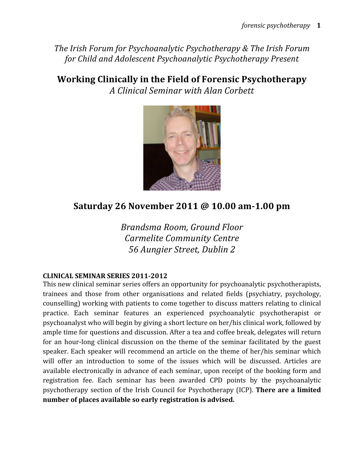*The
Irish
Forum
for
Psychoanalytic
Psychotherapy
&
The
Irish
Forum for
Child
and
Adolescent
Psychoanalytic
Psychotherapy
Present*

# **Working
Clinically
in
the
Field
of
Forensic
Psychotherapy** *A
Clinical
Seminar
with
Alan
Corbett*



# **Saturday
26
November
2011
@
10.00
am1.00
pm**

*Brandsma
Room,
Ground
Floor Carmelite
Community
Centre 56
Aungier
Street,
Dublin
2*

## **CLINICAL SEMINAR SERIES 2011-2012**

This
new
clinical
seminar
series
offers
an
opportunity
for
psychoanalytic
psychotherapists, trainees
 and
 those
 from other
 organisations
 and
 related
 fields
 (psychiatry,
 psychology, counselling) working with patients to come together to discuss matters relating to clinical practice.
 Each
 seminar
 features
 an
 experienced
 psychoanalytic
 psychotherapist
 or psychoanalyst
who
will
begin
by
giving
a
short
lecture
on
her/his
clinical
work,
followed
by ample
time
for
questions
and
discussion.
After
a
tea
and
coffee
break,
delegates
will
return for an hour-long clinical discussion on the theme of the seminar facilitated by the guest speaker. Each speaker will recommend an article on the theme of her/his seminar which will offer an introduction to some of the issues which will be discussed. Articles are available electronically in advance of each seminar, upon receipt of the booking form and registration fee. Each seminar has been awarded CPD points by the psychoanalytic psychotherapy section of the Irish Council for Psychotherapy (ICP). **There are a limited number
of
places
available
so
early
registration
is
advised.**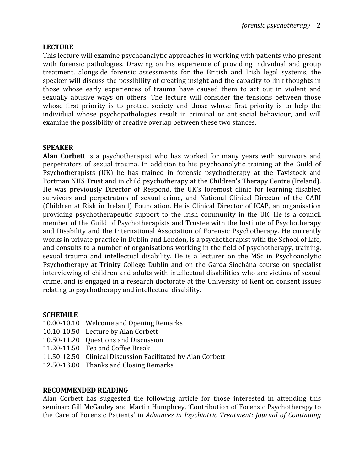#### **LECTURE**

This
lecture
will
examine
psychoanalytic
approaches
in
working
with
patients
who
present with forensic pathologies. Drawing on his experience of providing individual and group treatment, alongside forensic assessments for the British and Irish legal systems, the speaker will discuss the possibility of creating insight and the capacity to link thoughts in those whose early experiences of trauma have caused them to act out in violent and sexually abusive ways on others. The lecture will consider the tensions between those whose first priority is to protect society and those whose first priority is to help the individual whose psychopathologies result in criminal or antisocial behaviour, and will examine
the
possibility
of
creative
overlap
between
these
two
stances.

### **SPEAKER**

Alan Corbett is a psychotherapist who has worked for many years with survivors and perpetrators of sexual trauma. In addition to his psychoanalytic training at the Guild of Psychotherapists (UK) he has trained in forensic psychotherapy at the Tavistock and Portman NHS Trust and in child psychotherapy at the Children's Therapy Centre (Ireland). He was previously Director of Respond, the UK's foremost clinic for learning disabled survivors and perpetrators of sexual crime, and National Clinical Director of the CARI (Children
 at
 Risk
 in
 Ireland)
 Foundation.
 He
 is
 Clinical
 Director
 of
 ICAP,
 an
 organisation providing psychotherapeutic support to the Irish community in the UK. He is a council member of the Guild of Psychotherapists and Trustee with the Institute of Psychotherapy and Disability and the International Association of Forensic Psychotherapy. He currently works in private practice in Dublin and London, is a psychotherapist with the School of Life, and consults to a number of organisations working in the field of psychotherapy, training, sexual trauma and intellectual disability. He is a lecturer on the MSc in Psychoanalytic Psychotherapy at Trinity College Dublin and on the Garda Síochána course on specialist interviewing of children and adults with intellectual disabilities who are victims of sexual crime,
and
is
engaged
in
a
research
doctorate
at
 the
University
of
Kent
on
consent
issues relating
to
psychotherapy
and
intellectual
disability.

#### **SCHEDULE**

- 10.00‐10.10 Welcome
and
Opening
Remarks
- 10.10‐10.50 Lecture
by
Alan
Corbett
- 10.50‐11.20 Questions
and
Discussion
- 11.20‐11.50 Tea
and
Coffee
Break
- 11.50‐12.50 Clinical
Discussion
Facilitated
by
Alan
Corbett
- 12.50‐13.00 Thanks
and
Closing
Remarks

#### **RECOMMENDED
READING**

Alan
 Corbett
 has
 suggested
 the
 following
 article
 for
 those
 interested
 in
 attending
 this seminar: Gill McGauley and Martin Humphrey, 'Contribution of Forensic Psychotherapy to the Care of Forensic Patients' in Advances in Psychiatric Treatment: Journal of Continuing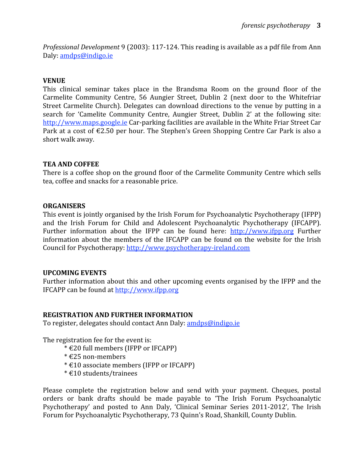Professional Development 9 (2003): 117-124. This reading is available as a pdf file from Ann Daly:
amdps@indigo.ie

### **VENUE**

This clinical seminar takes place in the Brandsma Room on the ground floor of the Carmelite Community Centre, 56 Aungier Street, Dublin 2 (next door to the Whitefriar Street Carmelite Church). Delegates can download directions to the venue by putting in a search for 'Camelite Community Centre, Aungier Street, Dublin 2' at the following site: http://www.maps.google.ie Car-parking facilities are available in the White Friar Street Car Park at a cost of €2.50 per hour. The Stephen's Green Shopping Centre Car Park is also a short
walk
away.

### **TEA
AND
COFFEE**

There is a coffee shop on the ground floor of the Carmelite Community Centre which sells tea,
coffee
and
snacks
for
a
reasonable
price.

### **ORGANISERS**

This event is jointly organised by the Irish Forum for Psychoanalytic Psychotherapy (IFPP) and
 the
 Irish
 Forum
 for
 Child
 and
 Adolescent
 Psychoanalytic
 Psychotherapy
 (IFCAPP). Further information about the IFPP can be found here: http://www.ifpp.org Further information about the members of the IFCAPP can be found on the website for the Irish Council
for
Psychotherapy:
http://www.psychotherapy‐ireland.com

### **UPCOMING
EVENTS**

Further information about this and other upcoming events organised by the IFPP and the IFCAPP
can
be
found
at
http://www.ifpp.org

### **REGISTRATION
AND
FURTHER
INFORMATION**

To
register,
delegates
should
contact
Ann
Daly:
amdps@indigo.ie

The registration fee for the event is:

- \*
€20
full
members
(IFPP
or
IFCAPP)
- \*
€25
non‐members
- \*
€10
associate
members
(IFPP
or
IFCAPP)
- \*
€10
students/trainees

Please complete the registration below and send with your payment. Cheques, postal orders
 or
 bank
 drafts
 should
 be
 made
 payable
 to
 'The
 Irish
 Forum
 Psychoanalytic Psychotherapy' and posted to Ann Daly, 'Clinical Seminar Series 2011-2012', The Irish Forum for Psychoanalytic Psychotherapy, 73 Quinn's Road, Shankill, County Dublin.